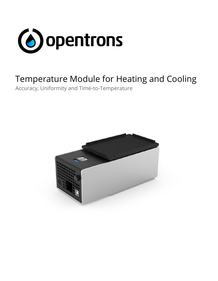

# Temperature Module for Heating and Cooling

Accuracy, Uniformity and Time-to-Temperature

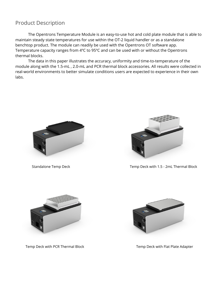#### Product Description

The Opentrons Temperature Module is an easy-to-use hot and cold plate module that is able to maintain steady state temperatures for use within the OT-2 liquid handler or as a standalone benchtop product. The module can readily be used with the Opentrons OT software app. Temperature capacity ranges from 4ºC to 95ºC and can be used with or without the Opentrons thermal blocks.

The data in this paper illustrates the accuracy, uniformity and time-to-temperature of the module along with the 1.5-mL , 2.0-mL and PCR thermal block accessories. All results were collected in real-world environments to better simulate conditions users are expected to experience in their own labs.





Standalone Temp Deck Temp Deck Temp Deck with 1.5 - 2mL Thermal Block



Temp Deck with PCR Thermal Block Temp Deck with Flat Plate Adapter

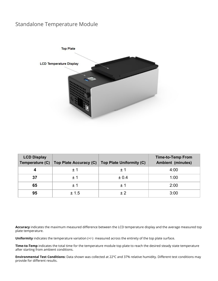## Standalone Temperature Module



| <b>LCD Display</b><br>Temperature (C) |       | Top Plate Accuracy (C) Top Plate Uniformity (C) | <b>Time-to-Temp From</b><br><b>Ambient (minutes)</b> |
|---------------------------------------|-------|-------------------------------------------------|------------------------------------------------------|
|                                       | ±1    | ±1                                              | 4:00                                                 |
| 37                                    | $+1$  | ± 0.4                                           | 1:00                                                 |
| 65                                    | ±1    | ± 1                                             | 2:00                                                 |
| 95                                    | ± 1.5 |                                                 | 3:00                                                 |

**Accuracy** indicates the maximum measured difference between the LCD temperature display and the average measured top plate temperature.

**Uniformity** indicates the temperature variation (+/-) measured across the entirety of the top plate surface.

**Time-to-Temp** indicates the total time for the temperature module top plate to reach the desired steady state temperature after starting from ambient conditions.

**Environmental Test Conditions:** Data shown was collected at 22ºC and 37% relative humidity. Different test conditions may provide for different results.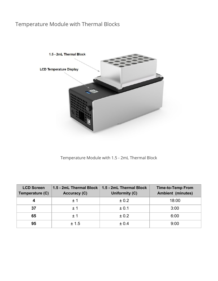## Temperature Module with Thermal Blocks



Temperature Module with 1.5 - 2mL Thermal Block

| <b>LCD Screen</b><br>Temperature (C) | 1.5 - 2mL Thermal Block $\parallel$<br><b>Accuracy (C)</b> | 1.5 - 2mL Thermal Block<br>Uniformity (C) | <b>Time-to-Temp From</b><br><b>Ambient (minutes)</b> |
|--------------------------------------|------------------------------------------------------------|-------------------------------------------|------------------------------------------------------|
|                                      | $+1$                                                       | ± 0.2                                     | 18:00                                                |
| 37                                   | $+1$                                                       | ± 0.1                                     | 3:00                                                 |
| 65                                   | $+1$                                                       | ± 0.2                                     | 6:00                                                 |
| 95                                   | ± 1.5                                                      | ± 0.4                                     | 9:00                                                 |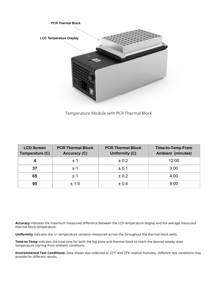

Temperature Module with PCR Thermal Block

| <b>LCD Screen</b><br>Temperature (C) | <b>PCR Thermal Block</b><br><b>Accuracy (C)</b> | <b>PCR Thermal Block</b><br>Uniformity (C) | <b>Time-to-Temp From</b><br><b>Ambient (minutes)</b> |
|--------------------------------------|-------------------------------------------------|--------------------------------------------|------------------------------------------------------|
|                                      | $+1$                                            | ± 0.2                                      | 12:00                                                |
| 37                                   | $+1$                                            | ± 0.1                                      | 3:00                                                 |
| 65                                   | $+1$                                            | ± 0.2                                      | 4:00                                                 |
| 95                                   | ± 1.5                                           | ± 0.4                                      | 8:00                                                 |

**Accuracy** indicates the maximum measured difference between the LCD temperature display and the average measured thermal block temperature.

**Uniformity** indicates the +/- temperature variation measured across the throughout the thermal block wells.

**Time-to-Temp** indicates the total time for both the top plate and thermal block to reach the desired steady state temperature starting from ambient conditions.

**Environmental Test Conditions:** Data shown was collected at 22ºC and 37% relative humidity. Different test conditions may provide for different results.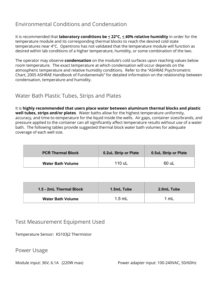## Environmental Conditions and Condensation

It is recommended that **laboratory conditions be < 22°C, < 40% relative humidity** in order for the temperature module and its corresponding thermal blocks to reach the desired cold state temperatures near 4°C. Opentrons has not validated that the temperature module will function as desired within lab conditions of a higher temperature, humidity, or some combination of the two.

The operator may observe **condensation** on the module's cold surfaces upon reaching values below room temperature. The exact temperature at which condensation will occur depends on the atmospheric temperature and relative humidity conditions. Refer to the "ASHRAE Psychrometric Chart, 2005 ASHRAE Handbook of Fundamentals" for detailed information on the relationship between condensation, temperature and humidity.

## Water Bath Plastic Tubes, Strips and Plates

It is **highly recommended that users place water between aluminum thermal blocks and plastic well tubes, strips and/or plates**. Water baths allow for the highest temperature uniformity, accuracy, and time-to-temperature for the liquid inside the wells. Air gaps, container sizes/brands, and pressure applied to the container can all significantly affect temperature results without use of a water bath. The following tables provide suggested thermal block water bath volumes for adequate coverage of each well size.

| <b>PCR Thermal Block</b> | 0.2uL Strip or Plate | 0.5uL Strip or Plate |
|--------------------------|----------------------|----------------------|
| <b>Water Bath Volume</b> | 110 uL               | _60 uL               |

| 1.5 - 2mL Thermal Block  | 1.5mL Tube | 2.0mL Tube |
|--------------------------|------------|------------|
| <b>Water Bath Volume</b> | $1.5$ mL   | mL         |

#### Test Measurement Equipment Used

Temperature Sensor: KS103J2 Thermistor

Power Usage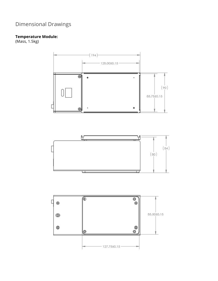# Dimensional Drawings

#### **Temperature Module:**

(Mass, 1.5kg)